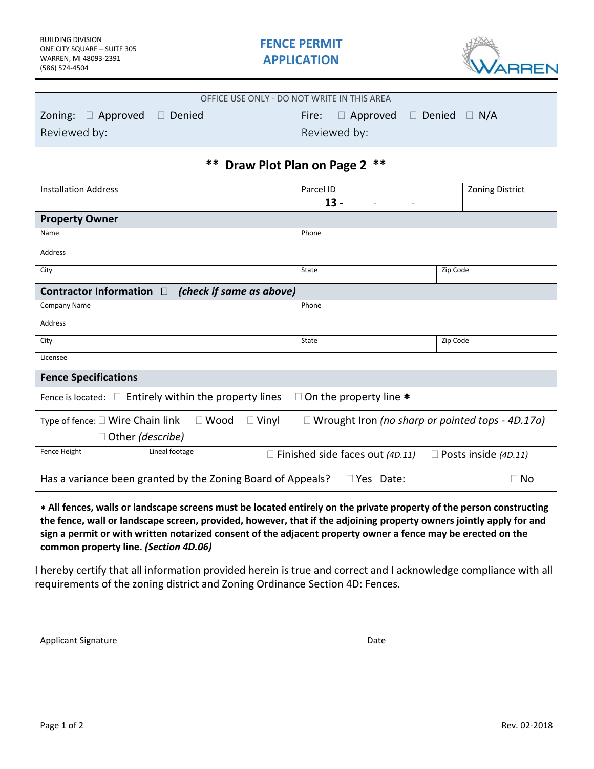

| OFFICE USE ONLY - DO NOT WRITE IN THIS AREA |  |                                                |  |  |
|---------------------------------------------|--|------------------------------------------------|--|--|
| Zoning: $\Box$ Approved $\Box$ Denied       |  | Fire: $\Box$ Approved $\Box$ Denied $\Box$ N/A |  |  |
| Reviewed by:                                |  | Reviewed by:                                   |  |  |

## **\*\* Draw Plot Plan on Page 2 \*\***

| <b>Installation Address</b>                                                                  | Parcel ID                                       | <b>Zoning District</b>                                  |  |  |  |
|----------------------------------------------------------------------------------------------|-------------------------------------------------|---------------------------------------------------------|--|--|--|
|                                                                                              | $13 -$                                          |                                                         |  |  |  |
| <b>Property Owner</b>                                                                        |                                                 |                                                         |  |  |  |
| Name                                                                                         | Phone                                           |                                                         |  |  |  |
| Address                                                                                      |                                                 |                                                         |  |  |  |
| City                                                                                         | <b>State</b>                                    | Zip Code                                                |  |  |  |
| Contractor Information $\Box$ (check if same as above)                                       |                                                 |                                                         |  |  |  |
| <b>Company Name</b>                                                                          | Phone                                           |                                                         |  |  |  |
| Address                                                                                      |                                                 |                                                         |  |  |  |
| City                                                                                         | <b>State</b>                                    | Zip Code                                                |  |  |  |
| Licensee                                                                                     |                                                 |                                                         |  |  |  |
| <b>Fence Specifications</b>                                                                  |                                                 |                                                         |  |  |  |
| Fence is located: $\square$ Entirely within the property lines<br>On the property line *     |                                                 |                                                         |  |  |  |
| $\Box$ Vinyl<br>Type of fence: $\square$ Wire Chain link<br>$\Box$ Wood                      |                                                 | $\Box$ Wrought Iron (no sharp or pointed tops - 4D.17a) |  |  |  |
| $\Box$ Other (describe)                                                                      |                                                 |                                                         |  |  |  |
| Fence Height<br>Lineal footage                                                               | Finished side faces out (4D.11)<br>$\mathbf{I}$ | $\Box$ Posts inside (4D.11)                             |  |  |  |
| Has a variance been granted by the Zoning Board of Appeals?<br>$\Box$ Yes Date:<br>$\Box$ No |                                                 |                                                         |  |  |  |

 **All fences, walls or landscape screens must be located entirely on the private property of the person constructing the fence, wall or landscape screen, provided, however, that if the adjoining property owners jointly apply for and sign a permit or with written notarized consent of the adjacent property owner a fence may be erected on the common property line.** *(Section 4D.06)*

I hereby certify that all information provided herein is true and correct and I acknowledge compliance with all requirements of the zoning district and Zoning Ordinance Section 4D: Fences.

Applicant Signature Date